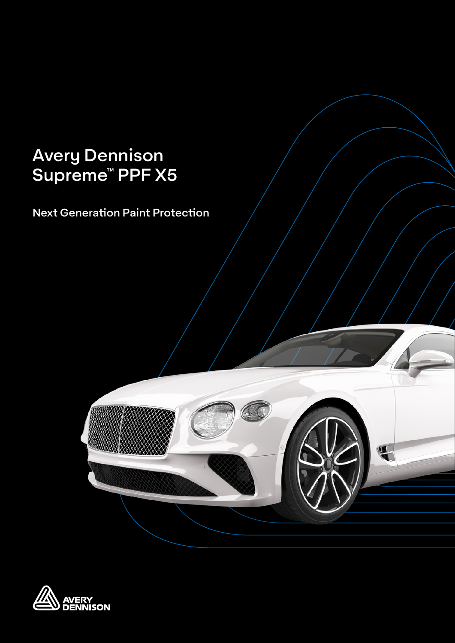# Avery Dennison Supreme™ PPF X5

Next Generation Paint Protection